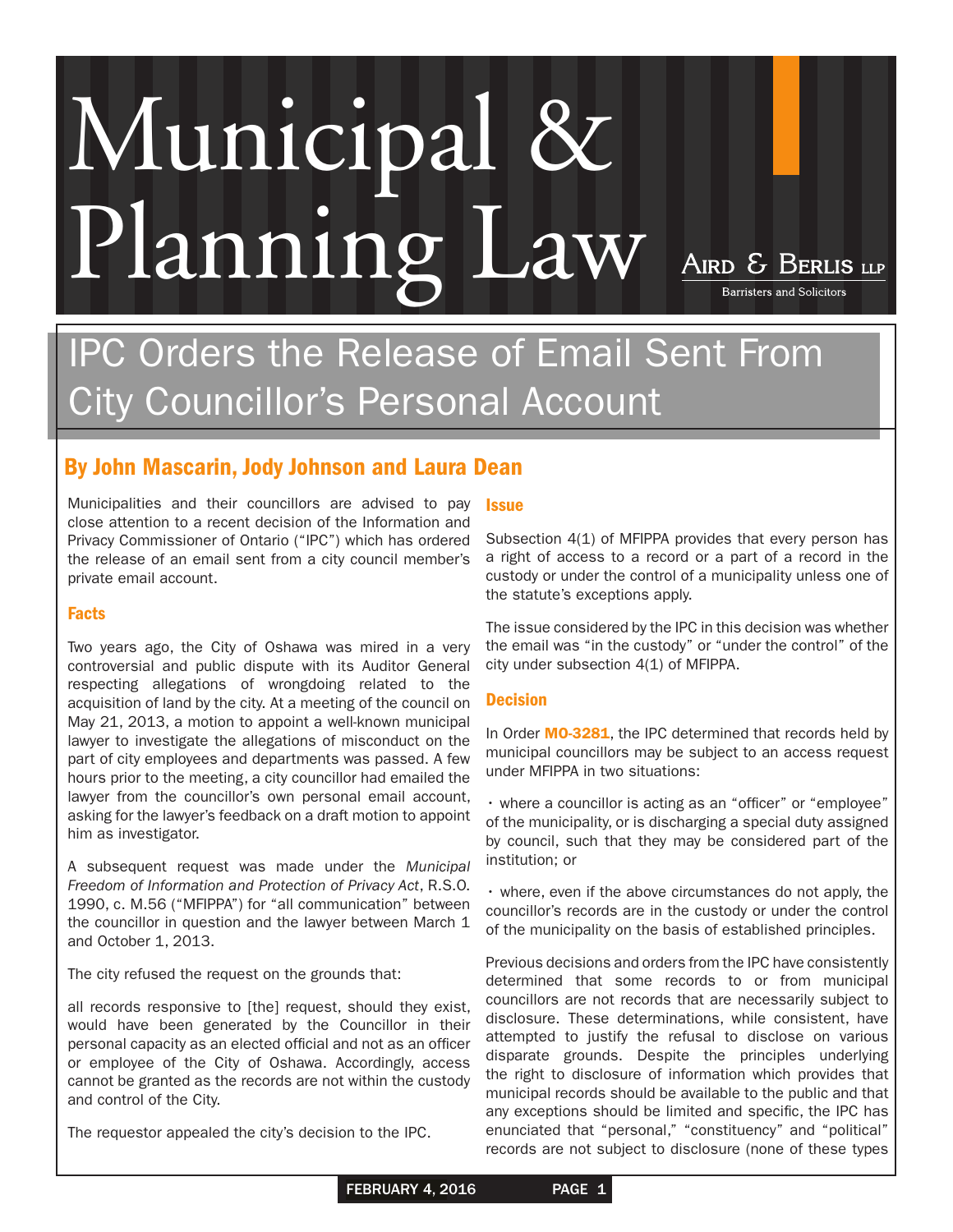# Municipal & Planning Law AIRD & BERLIS LIP

IPC Orders the Release of Email Sent From City Councillor's Personal Account

# By John Mascarin, Jody Johnson and Laura Dean

Municipalities and their councillors are advised to pay close attention to a recent decision of the Information and Privacy Commissioner of Ontario ("IPC") which has ordered the release of an email sent from a city council member's private email account.

## Facts

Two years ago, the City of Oshawa was mired in a very controversial and public dispute with its Auditor General respecting allegations of wrongdoing related to the acquisition of land by the city. At a meeting of the council on May 21, 2013, a motion to appoint a well-known municipal lawyer to investigate the allegations of misconduct on the part of city employees and departments was passed. A few hours prior to the meeting, a city councillor had emailed the lawyer from the councillor's own personal email account, asking for the lawyer's feedback on a draft motion to appoint him as investigator.

A subsequent request was made under the *Municipal Freedom of Information and Protection of Privacy Act*, R.S.O. 1990, c. M.56 ("MFIPPA") for "all communication" between the councillor in question and the lawyer between March 1 and October 1, 2013.

The city refused the request on the grounds that:

all records responsive to [the] request, should they exist, would have been generated by the Councillor in their personal capacity as an elected official and not as an officer or employee of the City of Oshawa. Accordingly, access cannot be granted as the records are not within the custody and control of the City.

The requestor appealed the city's decision to the IPC.

### **Issue**

Subsection 4(1) of MFIPPA provides that every person has a right of access to a record or a part of a record in the custody or under the control of a municipality unless one of the statute's exceptions apply.

**Barristers and Solicitors** 

The issue considered by the IPC in this decision was whether the email was "in the custody" or "under the control" of the city under subsection 4(1) of MFIPPA.

### **Decision**

In Order [MO-3281](https://www.ipc.on.ca/English/Decisions-and-Resolutions/Decisions-and-Resolutions-Summary/?id=10005), the IPC determined that records held by municipal councillors may be subject to an access request under MFIPPA in two situations:

• where a councillor is acting as an "officer" or "employee" of the municipality, or is discharging a special duty assigned by council, such that they may be considered part of the institution; or

• where, even if the above circumstances do not apply, the councillor's records are in the custody or under the control of the municipality on the basis of established principles.

Previous decisions and orders from the IPC have consistently determined that some records to or from municipal councillors are not records that are necessarily subject to disclosure. These determinations, while consistent, have attempted to justify the refusal to disclose on various disparate grounds. Despite the principles underlying the right to disclosure of information which provides that municipal records should be available to the public and that any exceptions should be limited and specific, the IPC has enunciated that "personal," "constituency" and "political" records are not subject to disclosure (none of these types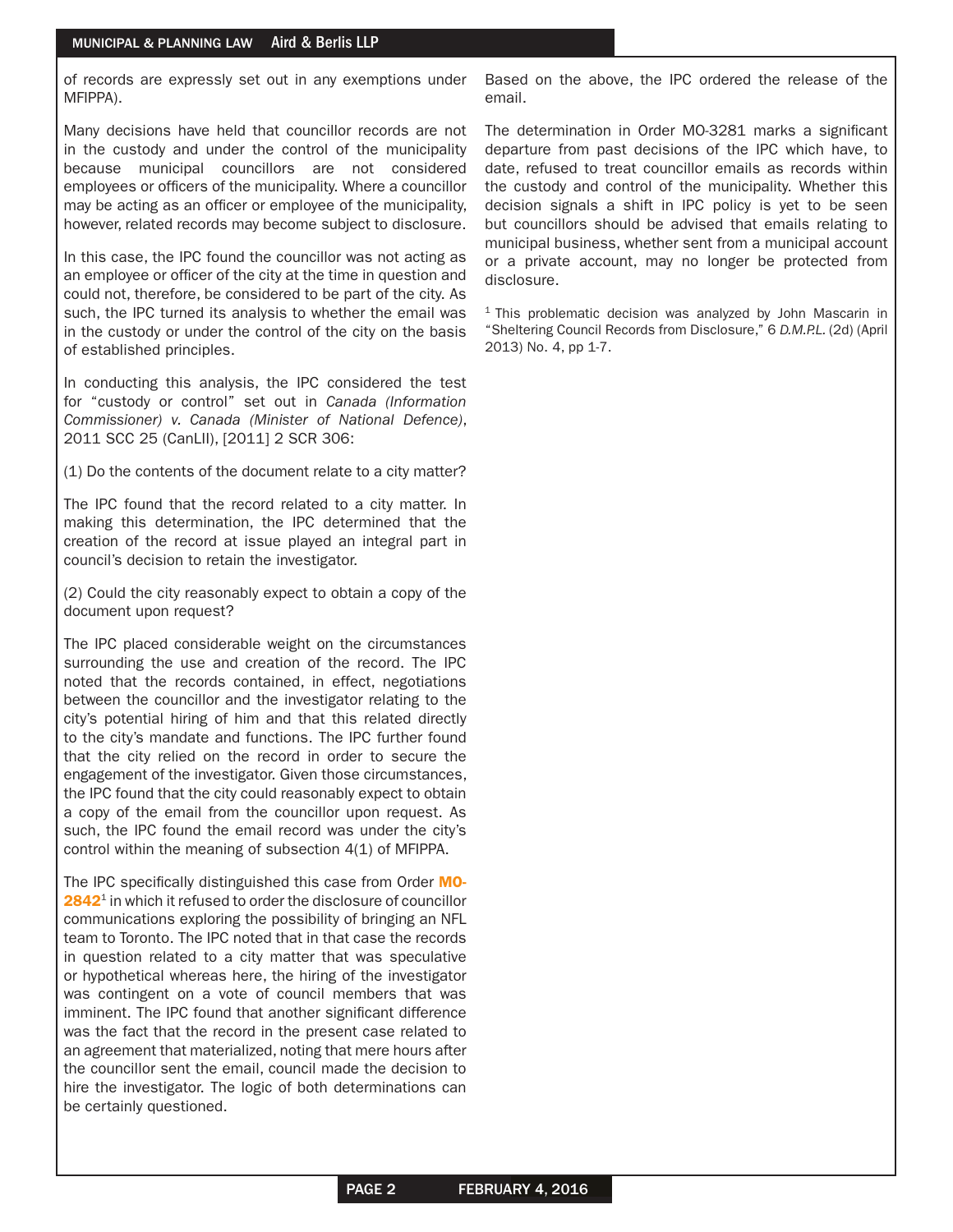of records are expressly set out in any exemptions under MFIPPA).

Many decisions have held that councillor records are not in the custody and under the control of the municipality because municipal councillors are not considered employees or officers of the municipality. Where a councillor may be acting as an officer or employee of the municipality, however, related records may become subject to disclosure.

In this case, the IPC found the councillor was not acting as an employee or officer of the city at the time in question and could not, therefore, be considered to be part of the city. As such, the IPC turned its analysis to whether the email was in the custody or under the control of the city on the basis of established principles.

In conducting this analysis, the IPC considered the test for "custody or control" set out in *Canada (Information Commissioner) v. Canada (Minister of National Defence)*, 2011 SCC 25 (CanLII), [2011] 2 SCR 306:

(1) Do the contents of the document relate to a city matter?

The IPC found that the record related to a city matter. In making this determination, the IPC determined that the creation of the record at issue played an integral part in council's decision to retain the investigator.

(2) Could the city reasonably expect to obtain a copy of the document upon request?

The IPC placed considerable weight on the circumstances surrounding the use and creation of the record. The IPC noted that the records contained, in effect, negotiations between the councillor and the investigator relating to the city's potential hiring of him and that this related directly to the city's mandate and functions. The IPC further found that the city relied on the record in order to secure the engagement of the investigator. Given those circumstances, the IPC found that the city could reasonably expect to obtain a copy of the email from the councillor upon request. As such, the IPC found the email record was under the city's control within the meaning of subsection 4(1) of MFIPPA.

The IPC specifically distinguished this case from Order [MO-](https://www.ipc.on.ca/English/Decisions-and-Resolutions/Decisions-and-Resolutions-Summary/?id=9095)[2842](https://www.ipc.on.ca/English/Decisions-and-Resolutions/Decisions-and-Resolutions-Summary/?id=9095)<sup>1</sup> in which it refused to order the disclosure of councillor communications exploring the possibility of bringing an NFL team to Toronto. The IPC noted that in that case the records in question related to a city matter that was speculative or hypothetical whereas here, the hiring of the investigator was contingent on a vote of council members that was imminent. The IPC found that another significant difference was the fact that the record in the present case related to an agreement that materialized, noting that mere hours after the councillor sent the email, council made the decision to hire the investigator. The logic of both determinations can be certainly questioned.

Based on the above, the IPC ordered the release of the email.

The determination in Order MO-3281 marks a significant departure from past decisions of the IPC which have, to date, refused to treat councillor emails as records within the custody and control of the municipality. Whether this decision signals a shift in IPC policy is yet to be seen but councillors should be advised that emails relating to municipal business, whether sent from a municipal account or a private account, may no longer be protected from disclosure.

 $1$  This problematic decision was analyzed by John Mascarin in "Sheltering Council Records from Disclosure," 6 *D.M.P.L.* (2d) (April 2013) No. 4, pp 1-7.